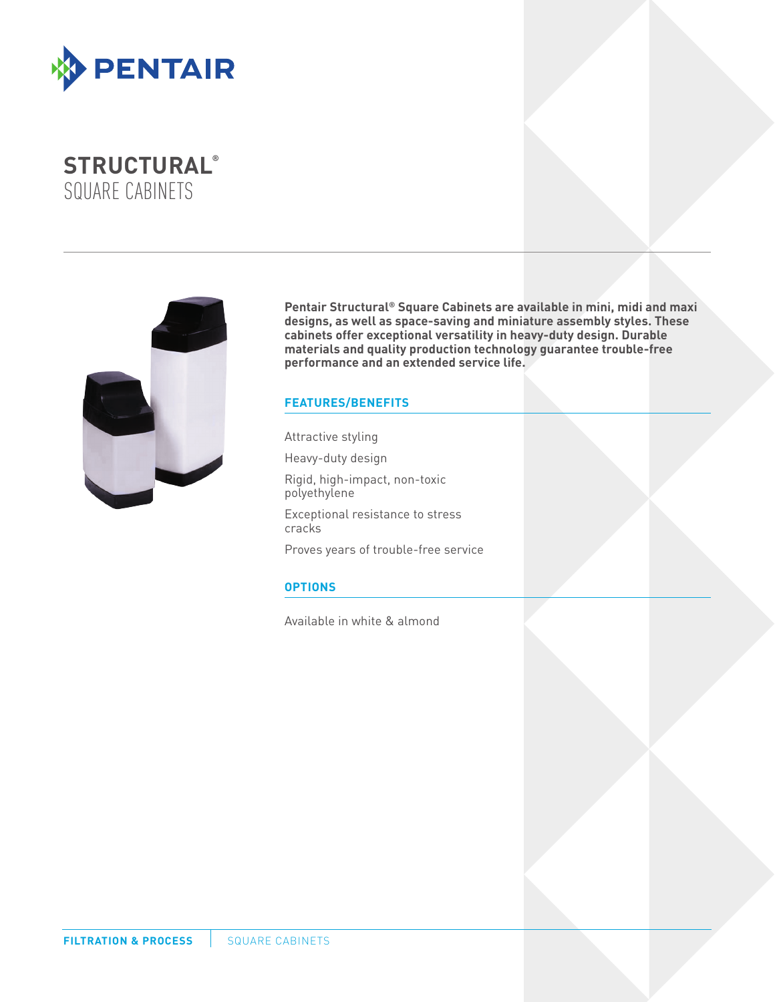

# **STRUCTURAL®**  SQUARE CABINETS



**Pentair Structural® Square Cabinets are available in mini, midi and maxi designs, as well as space-saving and miniature assembly styles. These cabinets offer exceptional versatility in heavy-duty design. Durable materials and quality production technology guarantee trouble-free performance and an extended service life.**

### **FEATURES/BENEFITS**

Attractive styling

Heavy-duty design

Rigid, high-impact, non-toxic polyethylene

Exceptional resistance to stress cracks

Proves years of trouble-free service

## **OPTIONS**

Available in white & almond